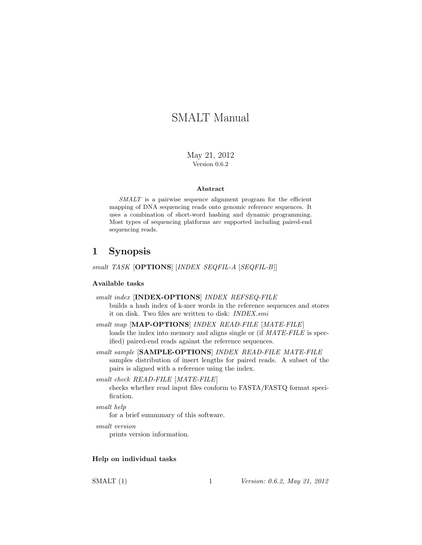# SMALT Manual

May 21, 2012 Version 0.6.2

#### Abstract

SMALT is a pairwise sequence alignment program for the efficient mapping of DNA sequencing reads onto genomic reference sequences. It uses a combination of short-word hashing and dynamic programming. Most types of sequencing platforms are supported including paired-end sequencing reads.

# 1 Synopsis

smalt TASK [OPTIONS] [INDEX SEQFIL-A [SEQFIL-B]]

#### Available tasks

| smalt index [INDEX-OPTIONS] INDEX REFSEQ-FILE                            |  |
|--------------------------------------------------------------------------|--|
| builds a hash index of k-mer words in the reference sequences and stores |  |
| it on disk. Two files are written to disk: <i>INDEX.smi</i>              |  |

smalt map [MAP-OPTIONS] INDEX READ-FILE [MATE-FILE] loads the index into memory and aligns single or (if  $MATE-FILE$  is specified) paired-end reads against the reference sequences.

smalt sample [SAMPLE-OPTIONS] INDEX READ-FILE MATE-FILE samples distribution of insert lengths for paired reads. A subset of the pairs is aligned with a reference using the index.

smalt check READ-FILE [MATE-FILE]

checks whether read input files conform to FASTA/FASTQ format specification.

smalt help

for a brief summmary of this software.

smalt version

prints version information.

#### Help on individual tasks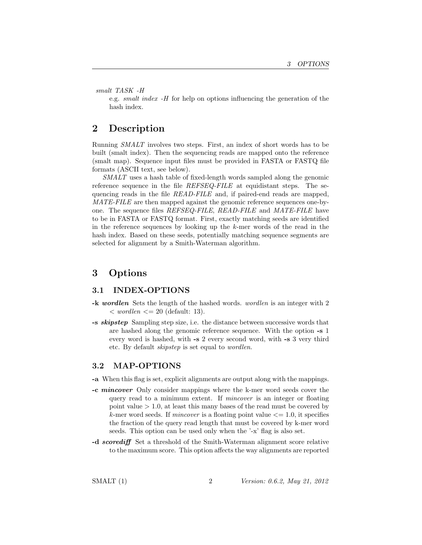smalt TASK -H

e.g. smalt index -H for help on options influencing the generation of the hash index.

### 2 Description

Running SMALT involves two steps. First, an index of short words has to be built (smalt index). Then the sequencing reads are mapped onto the reference (smalt map). Sequence input files must be provided in FASTA or FASTQ file formats (ASCII text, see below).

SMALT uses a hash table of fixed-length words sampled along the genomic reference sequence in the file REFSEQ-FILE at equidistant steps. The sequencing reads in the file READ-FILE and, if paired-end reads are mapped, MATE-FILE are then mapped against the genomic reference sequences one-byone. The sequence files REFSEQ-FILE, READ-FILE and MATE-FILE have to be in FASTA or FASTQ format. First, exactly matching seeds are identified in the reference sequences by looking up the k-mer words of the read in the hash index. Based on these seeds, potentially matching sequence segments are selected for alignment by a Smith-Waterman algorithm.

### 3 Options

### 3.1 INDEX-OPTIONS

- -k wordlen Sets the length of the hashed words. wordlen is an integer with 2  $\langle \text{worlden} \rangle = 20$  (default: 13).
- -s skipstep Sampling step size, i.e. the distance between successive words that are hashed along the genomic reference sequence. With the option -s 1 every word is hashed, with -s 2 every second word, with -s 3 very third etc. By default skipstep is set equal to wordlen.

#### 3.2 MAP-OPTIONS

- -a When this flag is set, explicit alignments are output along with the mappings.
- -c mincover Only consider mappings where the k-mer word seeds cover the query read to a minimum extent. If mincover is an integer or floating point value  $> 1.0$ , at least this many bases of the read must be covered by k-mer word seeds. If *mincover* is a floating point value  $\leq$  1.0, it specifies the fraction of the query read length that must be covered by k-mer word seeds. This option can be used only when the '-x' flag is also set.
- -d scorediff Set a threshold of the Smith-Waterman alignment score relative to the maximum score. This option affects the way alignments are reported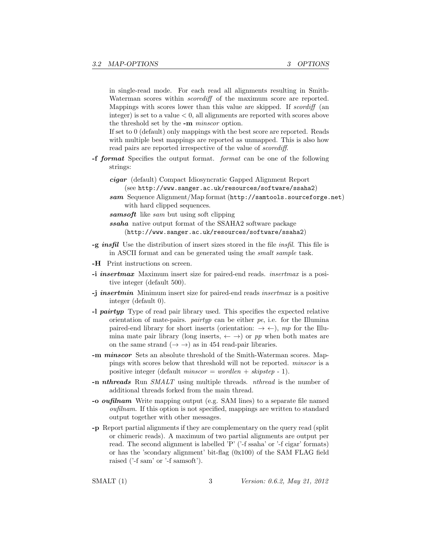in single-read mode. For each read all alignments resulting in Smith-Waterman scores within *scorediff* of the maximum score are reported. Mappings with scores lower than this value are skipped. If scordiff (an integer) is set to a value  $< 0$ , all alignments are reported with scores above the threshold set by the -m minscor option.

If set to 0 (default) only mappings with the best score are reported. Reads with multiple best mappings are reported as unmapped. This is also how read pairs are reported irrespective of the value of scorediff.

-f format Specifies the output format. format can be one of the following strings:

cigar (default) Compact Idiosyncratic Gapped Alignment Report (see http://www.sanger.ac.uk/resources/software/ssaha2)

- sam Sequence Alignment/Map format (http://samtools.sourceforge.net) with hard clipped sequences.
- sams of tlike sam but using soft clipping

ssaha native output format of the SSAHA2 software package (http://www.sanger.ac.uk/resources/software/ssaha2)

- $-g$  insfil Use the distribution of insert sizes stored in the file insfil. This file is in ASCII format and can be generated using the smalt sample task.
- -H Print instructions on screen.
- -i insertmax Maximum insert size for paired-end reads. insertmax is a positive integer (default 500).
- -j insertmin Minimum insert size for paired-end reads insertmax is a positive integer (default 0).
- -l pairtyp Type of read pair library used. This specifies the expected relative orientation of mate-pairs. *pairtyp* can be either  $pe$ , i.e. for the Illumina paired-end library for short inserts (orientation:  $\rightarrow \leftarrow$ ), mp for the Illumina mate pair library (long inserts,  $\leftarrow \rightarrow$ ) or pp when both mates are on the same strand  $(\rightarrow \rightarrow)$  as in 454 read-pair libraries.
- -m minscor Sets an absolute threshold of the Smith-Waterman scores. Mappings with scores below that threshold will not be reported. minscor is a positive integer (default  $minscore = worldlen + skipstep - 1$ ).
- -n nthreads Run SMALT using multiple threads. nthread is the number of additional threads forked from the main thread.
- -o oufilnam Write mapping output (e.g. SAM lines) to a separate file named oufilnam. If this option is not specified, mappings are written to standard output together with other messages.
- -p Report partial alignments if they are complementary on the query read (split or chimeric reads). A maximum of two partial alignments are output per read. The second alignment is labelled 'P' ('-f ssaha' or '-f cigar' formats) or has the 'scondary alignment' bit-flag (0x100) of the SAM FLAG field raised ('-f sam' or '-f samsoft').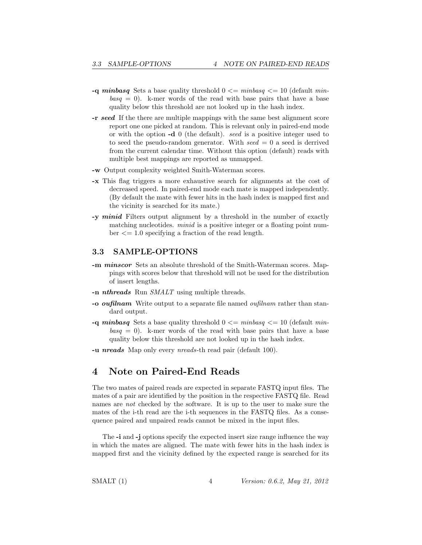- -q minbasq Sets a base quality threshold  $0 \le \text{min}$  minor  $\le \text{min}$  (default min $basq = 0$ ). k-mer words of the read with base pairs that have a base quality below this threshold are not looked up in the hash index.
- -r seed If the there are multiple mappings with the same best alignment score report one one picked at random. This is relevant only in paired-end mode or with the option -d 0 (the default). seed is a positive integer used to to seed the pseudo-random generator. With  $seed = 0$  a seed is derrived from the current calendar time. Without this option (default) reads with multiple best mappings are reported as unmapped.
- -w Output complexity weighted Smith-Waterman scores.
- -x This flag triggers a more exhaustive search for alignments at the cost of decreased speed. In paired-end mode each mate is mapped independently. (By default the mate with fewer hits in the hash index is mapped first and the vicinity is searched for its mate.)
- -y minid Filters output alignment by a threshold in the number of exactly matching nucleotides. *minid* is a positive integer or a floating point num $ber \leq 1.0$  specifying a fraction of the read length.

#### 3.3 SAMPLE-OPTIONS

- -m minscor Sets an absolute threshold of the Smith-Waterman scores. Mappings with scores below that threshold will not be used for the distribution of insert lengths.
- -n *nthreads* Run *SMALT* using multiple threads.
- -o *oufilnam* Write output to a separate file named *oufilnam* rather than standard output.
- -q minbasq Sets a base quality threshold  $0 \le \min\{\log q\} \le 10$  (default min $basq = 0$ ). k-mer words of the read with base pairs that have a base quality below this threshold are not looked up in the hash index.
- -u nreads Map only every nreads-th read pair (default 100).

### 4 Note on Paired-End Reads

The two mates of paired reads are expected in separate FASTQ input files. The mates of a pair are identified by the position in the respective FASTQ file. Read names are not checked by the software. It is up to the user to make sure the mates of the i-th read are the i-th sequences in the FASTQ files. As a consequence paired and unpaired reads cannot be mixed in the input files.

The -i and -j options specify the expected insert size range influence the way in which the mates are aligned. The mate with fewer hits in the hash index is mapped first and the vicinity defined by the expected range is searched for its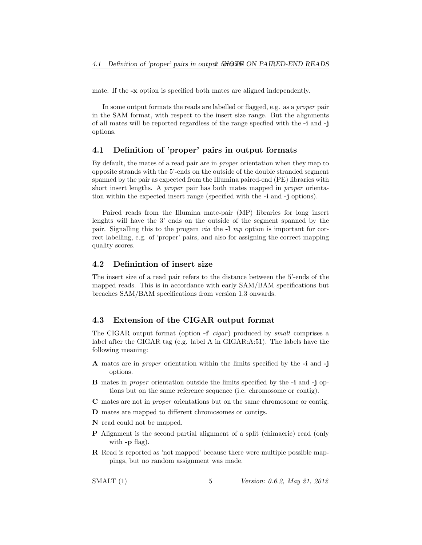mate. If the -x option is specified both mates are aligned independently.

In some output formats the reads are labelled or flagged, e.g. as a proper pair in the SAM format, with respect to the insert size range. But the alignments of all mates will be reported regardless of the range specfied with the -i and -j options.

#### 4.1 Definition of 'proper' pairs in output formats

By default, the mates of a read pair are in proper orientation when they map to opposite strands with the 5'-ends on the outside of the double stranded segment spanned by the pair as expected from the Illumina paired-end (PE) libraries with short insert lengths. A proper pair has both mates mapped in proper orientation within the expected insert range (specified with the -i and -j options).

Paired reads from the Illumina mate-pair (MP) libraries for long insert lenghts will have the 3' ends on the outside of the segment spanned by the pair. Signalling this to the progam *via* the  $-1$  mp option is important for correct labelling, e.g. of 'proper' pairs, and also for assigning the correct mapping quality scores.

#### 4.2 Definintion of insert size

The insert size of a read pair refers to the distance between the 5'-ends of the mapped reads. This is in accordance with early SAM/BAM specifications but breaches SAM/BAM specifications from version 1.3 onwards.

#### 4.3 Extension of the CIGAR output format

The CIGAR output format (option  $-f$  *cigar*) produced by *smalt* comprises a label after the GIGAR tag (e.g. label A in GIGAR:A:51). The labels have the following meaning:

- A mates are in proper orientation within the limits specified by the -i and -j options.
- B mates in proper orientation outside the limits specified by the -i and -j options but on the same reference sequence (i.e. chromosome or contig).
- C mates are not in proper orientations but on the same chromosome or contig.
- D mates are mapped to different chromosomes or contigs.
- N read could not be mapped.
- P Alignment is the second partial alignment of a split (chimaeric) read (only with  $-p$  flag).
- R Read is reported as 'not mapped' because there were multiple possible mappings, but no random assignment was made.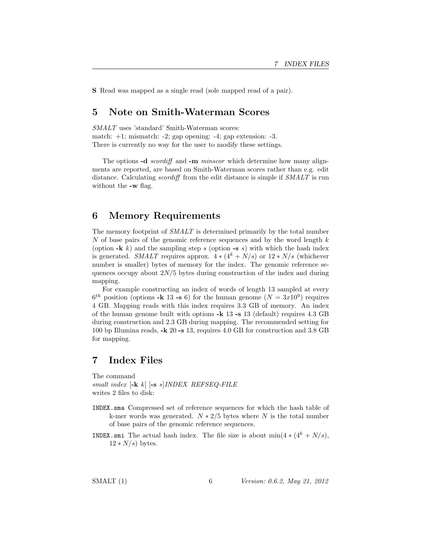S Read was mapped as a single read (sole mapped read of a pair).

### 5 Note on Smith-Waterman Scores

SMALT uses 'standard' Smith-Waterman scores: match:  $+1$ ; mismatch:  $-2$ ; gap opening:  $-4$ ; gap extension:  $-3$ . There is currently no way for the user to modify these settings.

The options -d *scordiff* and -m *minscor* which determine how many alignments are reported, are based on Smith-Waterman scores rather than e.g. edit distance. Calculating *scordiff* from the edit distance is simple if SMALT is run without the -w flag.

### 6 Memory Requirements

The memory footprint of SMALT is determined primarily by the total number N of base pairs of the genomic reference sequences and by the word length  $k$ (option  $-k$  k) and the sampling step s (option  $-s$  s) with which the hash index is generated. SMALT requires approx.  $4 * (4^k + N/s)$  or  $12 * N/s$  (whichever number is smaller) bytes of memory for the index. The genomic reference sequences occupy about  $2N/5$  bytes during construction of the index and during mapping.

For example constructing an index of words of length 13 sampled at every  $6^{th}$  position (options -k 13 -s 6) for the human genome  $(N = 3x10^9)$  requires 4 GB. Mapping reads with this index requires 3.3 GB of memory. An index of the human genome built with options -k 13 -s 13 (default) requires 4.3 GB during construction and 2.3 GB during mapping. The recommended setting for 100 bp Illumina reads, -k 20 -s 13, requires 4.0 GB for construction and 3.8 GB for mapping.

### 7 Index Files

The command smalt index  $[-k \; k]$   $[-s \; s]$  INDEX REFSEQ-FILE writes 2 files to disk:

- INDEX.sma Compressed set of reference sequences for which the hash table of k-mer words was generated.  $N * 2/5$  bytes where N is the total number of base pairs of the genomic reference sequences.
- INDEX.smi The actual hash index. The file size is about  $\min(4 * (4^k + N/s))$ ,  $12*N/s$  bytes.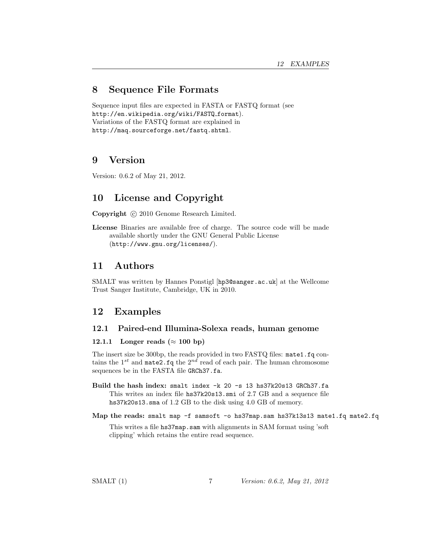### 8 Sequence File Formats

Sequence input files are expected in FASTA or FASTQ format (see http://en.wikipedia.org/wiki/FASTQ format). Variations of the FASTQ format are explained in http://maq.sourceforge.net/fastq.shtml.

### 9 Version

Version: 0.6.2 of May 21, 2012.

# 10 License and Copyright

Copyright  $\odot$  2010 Genome Research Limited.

License Binaries are available free of charge. The source code will be made available shortly under the GNU General Public License (http://www.gnu.org/licenses/).

### 11 Authors

SMALT was written by Hannes Ponstigl [hp3@sanger.ac.uk] at the Wellcome Trust Sanger Institute, Cambridge, UK in 2010.

## 12 Examples

#### 12.1 Paired-end Illumina-Solexa reads, human genome

#### 12.1.1 Longer reads ( $\approx 100$  bp)

The insert size be 300bp, the reads provided in two FASTQ files: mate1.fq contains the  $1^{st}$  and mate2.fq the  $2^{nd}$  read of each pair. The human chromosome sequences be in the FASTA file GRCh37.fa.

- Build the hash index: smalt index -k 20 -s 13 hs37k20s13 GRCh37.fa This writes an index file hs37k20s13.smi of 2.7 GB and a sequence file hs37k20s13.sma of 1.2 GB to the disk using 4.0 GB of memory.
- Map the reads: smalt map -f samsoft -o hs37map.sam hs37k13s13 mate1.fq mate2.fq

This writes a file hs37map.sam with alignments in SAM format using 'soft clipping' which retains the entire read sequence.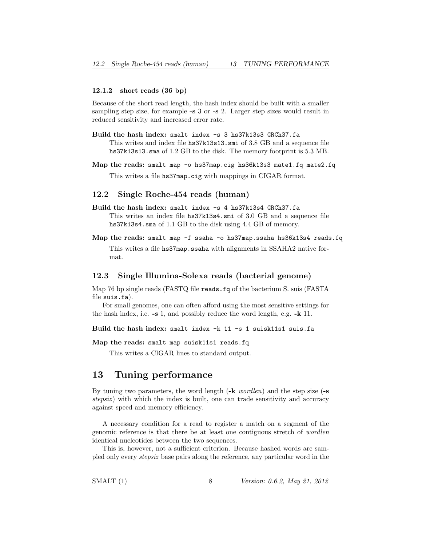#### 12.1.2 short reads (36 bp)

Because of the short read length, the hash index should be built with a smaller sampling step size, for example -s 3 or -s 2. Larger step sizes would result in reduced sensitivity and increased error rate.

- Build the hash index: smalt index -s 3 hs37k13s3 GRCh37.fa This writes and index file hs37k13s13.smi of 3.8 GB and a sequence file hs37k13s13.sma of 1.2 GB to the disk. The memory footprint is 5.3 MB.
- Map the reads: smalt map -o hs37map.cig hs36k13s3 mate1.fq mate2.fq This writes a file hs37map.cig with mappings in CIGAR format.

#### 12.2 Single Roche-454 reads (human)

- Build the hash index: smalt index -s 4 hs37k13s4 GRCh37.fa This writes an index file hs37k13s4.smi of 3.0 GB and a sequence file hs37k13s4.sma of 1.1 GB to the disk using 4.4 GB of memory.
- Map the reads: smalt map -f ssaha -o hs37map.ssaha hs36k13s4 reads.fq This writes a file hs37map.ssaha with alignments in SSAHA2 native format.

#### 12.3 Single Illumina-Solexa reads (bacterial genome)

Map 76 bp single reads (FASTQ file reads.fq of the bacterium S. suis (FASTA file suis.fa).

For small genomes, one can often afford using the most sensitive settings for the hash index, i.e. -s 1, and possibly reduce the word length, e.g. -k 11.

Build the hash index: smalt index -k 11 -s 1 suisk11s1 suis.fa

Map the reads: smalt map suisk11s1 reads.fq

This writes a CIGAR lines to standard output.

### 13 Tuning performance

By tuning two parameters, the word length  $(-k \text{ worlden})$  and the step size  $(-s)$ stepsiz) with which the index is built, one can trade sensitivity and accuracy against speed and memory efficiency.

A necessary condition for a read to register a match on a segment of the genomic reference is that there be at least one contiguous stretch of wordlen identical nucleotides between the two sequences.

This is, however, not a sufficient criterion. Because hashed words are sampled only every stepsiz base pairs along the reference, any particular word in the